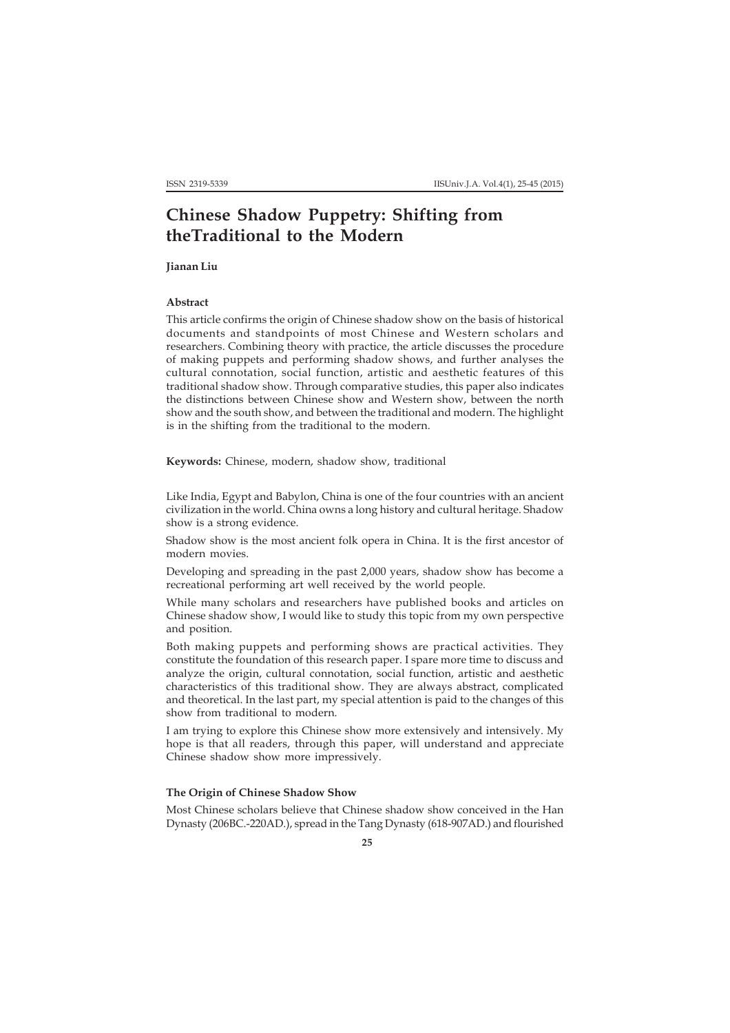# **Chinese Shadow Puppetry: Shifting from theTraditional to the Modern**

**Jianan Liu**

## **Abstract**

This article confirms the origin of Chinese shadow show on the basis of historical documents and standpoints of most Chinese and Western scholars and researchers. Combining theory with practice, the article discusses the procedure of making puppets and performing shadow shows, and further analyses the cultural connotation, social function, artistic and aesthetic features of this traditional shadow show. Through comparative studies, this paper also indicates the distinctions between Chinese show and Western show, between the north show and the south show, and between the traditional and modern. The highlight is in the shifting from the traditional to the modern.

**Keywords:** Chinese, modern, shadow show, traditional

Like India, Egypt and Babylon, China is one of the four countries with an ancient civilization in the world. China owns a long history and cultural heritage. Shadow show is a strong evidence.

Shadow show is the most ancient folk opera in China. It is the first ancestor of modern movies.

Developing and spreading in the past 2,000 years, shadow show has become a recreational performing art well received by the world people.

While many scholars and researchers have published books and articles on Chinese shadow show, I would like to study this topic from my own perspective and position.

Both making puppets and performing shows are practical activities. They constitute the foundation of this research paper. I spare more time to discuss and analyze the origin, cultural connotation, social function, artistic and aesthetic characteristics of this traditional show. They are always abstract, complicated and theoretical. In the last part, my special attention is paid to the changes of this show from traditional to modern.

I am trying to explore this Chinese show more extensively and intensively. My hope is that all readers, through this paper, will understand and appreciate Chinese shadow show more impressively.

## **The Origin of Chinese Shadow Show**

Most Chinese scholars believe that Chinese shadow show conceived in the Han Dynasty (206BC.-220AD.), spread in the Tang Dynasty (618-907AD.) and flourished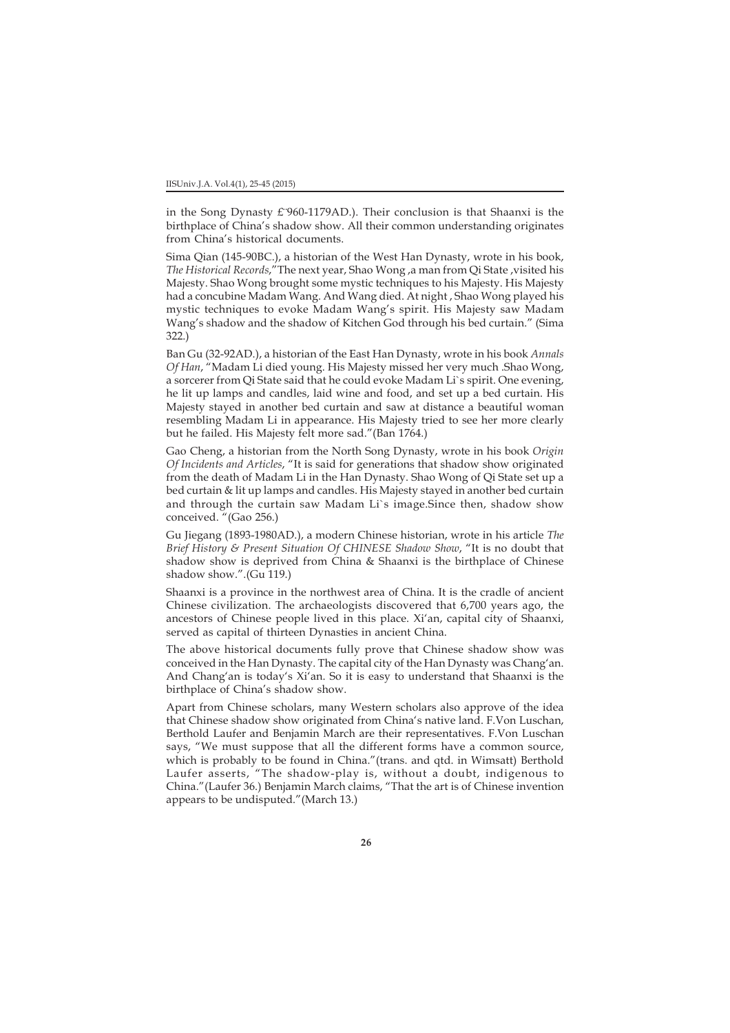in the Song Dynasty £¨960-1179AD.). Their conclusion is that Shaanxi is the birthplace of China's shadow show. All their common understanding originates from China's historical documents.

Sima Qian (145-90BC.), a historian of the West Han Dynasty, wrote in his book, *The Historical Records*,"The next year, Shao Wong ,a man from Qi State ,visited his Majesty. Shao Wong brought some mystic techniques to his Majesty. His Majesty had a concubine Madam Wang. And Wang died. At night , Shao Wong played his mystic techniques to evoke Madam Wang's spirit. His Majesty saw Madam Wang's shadow and the shadow of Kitchen God through his bed curtain." (Sima 322.)

Ban Gu (32-92AD.), a historian of the East Han Dynasty, wrote in his book *Annals Of Han*, "Madam Li died young. His Majesty missed her very much .Shao Wong, a sorcerer from Qi State said that he could evoke Madam Li`s spirit. One evening, he lit up lamps and candles, laid wine and food, and set up a bed curtain. His Majesty stayed in another bed curtain and saw at distance a beautiful woman resembling Madam Li in appearance. His Majesty tried to see her more clearly but he failed. His Majesty felt more sad."(Ban 1764.)

Gao Cheng, a historian from the North Song Dynasty, wrote in his book *Origin Of Incidents and Articles*, "It is said for generations that shadow show originated from the death of Madam Li in the Han Dynasty. Shao Wong of Qi State set up a bed curtain & lit up lamps and candles. His Majesty stayed in another bed curtain and through the curtain saw Madam Li`s image.Since then, shadow show conceived. "(Gao 256.)

Gu Jiegang (1893-1980AD.), a modern Chinese historian, wrote in his article *The Brief History & Present Situation Of CHINESE Shadow Show*, "It is no doubt that shadow show is deprived from China & Shaanxi is the birthplace of Chinese shadow show.".(Gu 119.)

Shaanxi is a province in the northwest area of China. It is the cradle of ancient Chinese civilization. The archaeologists discovered that 6,700 years ago, the ancestors of Chinese people lived in this place. Xi'an, capital city of Shaanxi, served as capital of thirteen Dynasties in ancient China.

The above historical documents fully prove that Chinese shadow show was conceived in the Han Dynasty. The capital city of the Han Dynasty was Chang'an. And Chang'an is today's Xi'an. So it is easy to understand that Shaanxi is the birthplace of China's shadow show.

Apart from Chinese scholars, many Western scholars also approve of the idea that Chinese shadow show originated from China's native land. F.Von Luschan, Berthold Laufer and Benjamin March are their representatives. F.Von Luschan says, "We must suppose that all the different forms have a common source, which is probably to be found in China."(trans. and qtd. in Wimsatt) Berthold Laufer asserts, "The shadow-play is, without a doubt, indigenous to China."(Laufer 36.) Benjamin March claims, "That the art is of Chinese invention appears to be undisputed."(March 13.)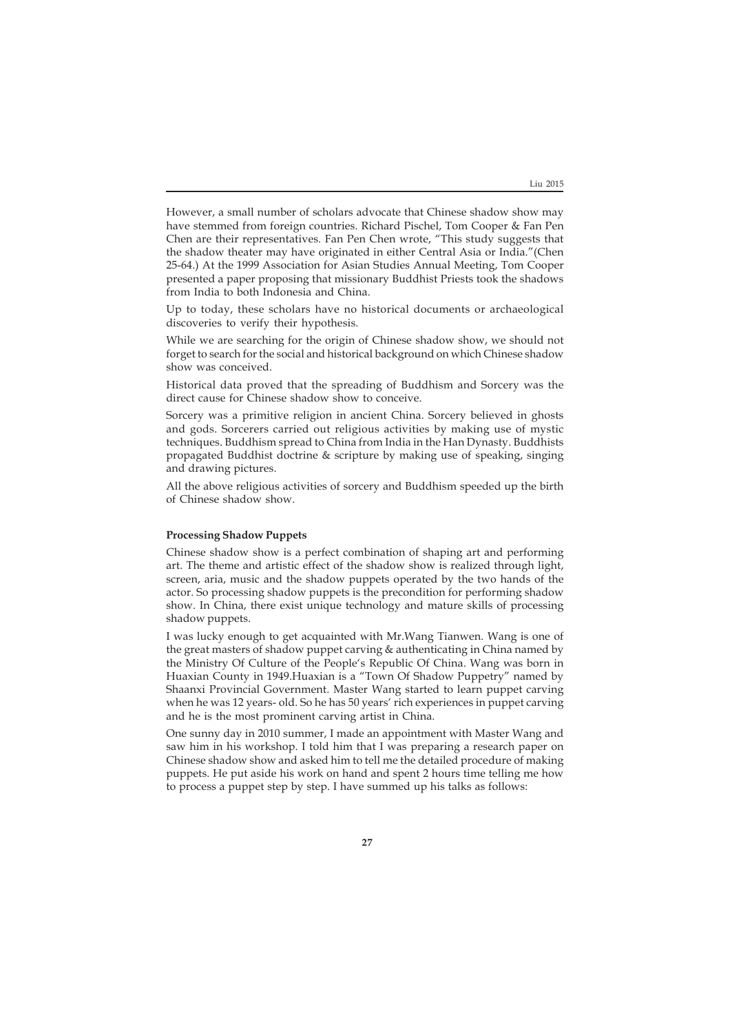Liu 2015

However, a small number of scholars advocate that Chinese shadow show may have stemmed from foreign countries. Richard Pischel, Tom Cooper & Fan Pen Chen are their representatives. Fan Pen Chen wrote, "This study suggests that the shadow theater may have originated in either Central Asia or India."(Chen 25-64.) At the 1999 Association for Asian Studies Annual Meeting, Tom Cooper presented a paper proposing that missionary Buddhist Priests took the shadows from India to both Indonesia and China.

Up to today, these scholars have no historical documents or archaeological discoveries to verify their hypothesis.

While we are searching for the origin of Chinese shadow show, we should not forget to search for the social and historical background on which Chinese shadow show was conceived.

Historical data proved that the spreading of Buddhism and Sorcery was the direct cause for Chinese shadow show to conceive.

Sorcery was a primitive religion in ancient China. Sorcery believed in ghosts and gods. Sorcerers carried out religious activities by making use of mystic techniques. Buddhism spread to China from India in the Han Dynasty. Buddhists propagated Buddhist doctrine & scripture by making use of speaking, singing and drawing pictures.

All the above religious activities of sorcery and Buddhism speeded up the birth of Chinese shadow show.

#### **Processing Shadow Puppets**

Chinese shadow show is a perfect combination of shaping art and performing art. The theme and artistic effect of the shadow show is realized through light, screen, aria, music and the shadow puppets operated by the two hands of the actor. So processing shadow puppets is the precondition for performing shadow show. In China, there exist unique technology and mature skills of processing shadow puppets.

I was lucky enough to get acquainted with Mr.Wang Tianwen. Wang is one of the great masters of shadow puppet carving & authenticating in China named by the Ministry Of Culture of the People's Republic Of China. Wang was born in Huaxian County in 1949.Huaxian is a "Town Of Shadow Puppetry" named by Shaanxi Provincial Government. Master Wang started to learn puppet carving when he was 12 years- old. So he has 50 years' rich experiences in puppet carving and he is the most prominent carving artist in China.

One sunny day in 2010 summer, I made an appointment with Master Wang and saw him in his workshop. I told him that I was preparing a research paper on Chinese shadow show and asked him to tell me the detailed procedure of making puppets. He put aside his work on hand and spent 2 hours time telling me how to process a puppet step by step. I have summed up his talks as follows: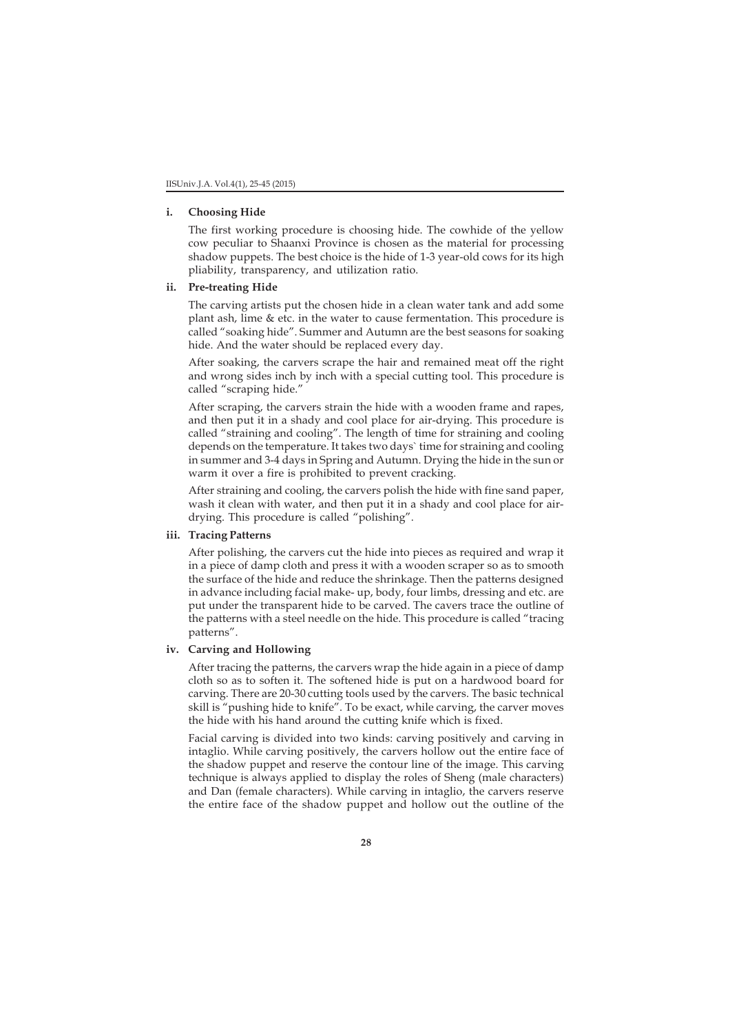#### **i. Choosing Hide**

The first working procedure is choosing hide. The cowhide of the yellow cow peculiar to Shaanxi Province is chosen as the material for processing shadow puppets. The best choice is the hide of 1-3 year-old cows for its high pliability, transparency, and utilization ratio.

# **ii. Pre-treating Hide**

The carving artists put the chosen hide in a clean water tank and add some plant ash, lime & etc. in the water to cause fermentation. This procedure is called "soaking hide". Summer and Autumn are the best seasons for soaking hide. And the water should be replaced every day.

After soaking, the carvers scrape the hair and remained meat off the right and wrong sides inch by inch with a special cutting tool. This procedure is called "scraping hide."

After scraping, the carvers strain the hide with a wooden frame and rapes, and then put it in a shady and cool place for air-drying. This procedure is called "straining and cooling". The length of time for straining and cooling depends on the temperature. It takes two days` time for straining and cooling in summer and 3-4 days in Spring and Autumn. Drying the hide in the sun or warm it over a fire is prohibited to prevent cracking.

After straining and cooling, the carvers polish the hide with fine sand paper, wash it clean with water, and then put it in a shady and cool place for airdrying. This procedure is called "polishing".

# **iii. Tracing Patterns**

After polishing, the carvers cut the hide into pieces as required and wrap it in a piece of damp cloth and press it with a wooden scraper so as to smooth the surface of the hide and reduce the shrinkage. Then the patterns designed in advance including facial make- up, body, four limbs, dressing and etc. are put under the transparent hide to be carved. The cavers trace the outline of the patterns with a steel needle on the hide. This procedure is called "tracing patterns".

# **iv. Carving and Hollowing**

After tracing the patterns, the carvers wrap the hide again in a piece of damp cloth so as to soften it. The softened hide is put on a hardwood board for carving. There are 20-30 cutting tools used by the carvers. The basic technical skill is "pushing hide to knife". To be exact, while carving, the carver moves the hide with his hand around the cutting knife which is fixed.

Facial carving is divided into two kinds: carving positively and carving in intaglio. While carving positively, the carvers hollow out the entire face of the shadow puppet and reserve the contour line of the image. This carving technique is always applied to display the roles of Sheng (male characters) and Dan (female characters). While carving in intaglio, the carvers reserve the entire face of the shadow puppet and hollow out the outline of the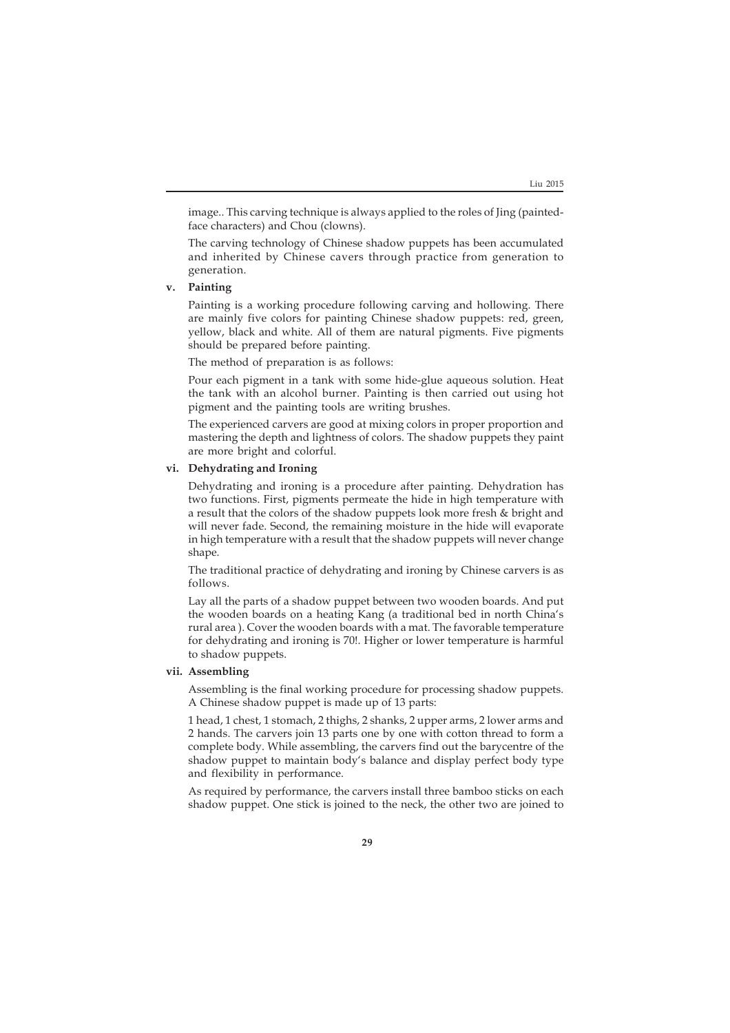image.. This carving technique is always applied to the roles of Jing (paintedface characters) and Chou (clowns).

The carving technology of Chinese shadow puppets has been accumulated and inherited by Chinese cavers through practice from generation to generation.

# **v. Painting**

Painting is a working procedure following carving and hollowing. There are mainly five colors for painting Chinese shadow puppets: red, green, yellow, black and white. All of them are natural pigments. Five pigments should be prepared before painting.

The method of preparation is as follows:

Pour each pigment in a tank with some hide-glue aqueous solution. Heat the tank with an alcohol burner. Painting is then carried out using hot pigment and the painting tools are writing brushes.

The experienced carvers are good at mixing colors in proper proportion and mastering the depth and lightness of colors. The shadow puppets they paint are more bright and colorful.

## **vi. Dehydrating and Ironing**

Dehydrating and ironing is a procedure after painting. Dehydration has two functions. First, pigments permeate the hide in high temperature with a result that the colors of the shadow puppets look more fresh & bright and will never fade. Second, the remaining moisture in the hide will evaporate in high temperature with a result that the shadow puppets will never change shape.

The traditional practice of dehydrating and ironing by Chinese carvers is as follows.

Lay all the parts of a shadow puppet between two wooden boards. And put the wooden boards on a heating Kang (a traditional bed in north China's rural area ). Cover the wooden boards with a mat. The favorable temperature for dehydrating and ironing is 70!. Higher or lower temperature is harmful to shadow puppets.

## **vii. Assembling**

Assembling is the final working procedure for processing shadow puppets. A Chinese shadow puppet is made up of 13 parts:

1 head, 1 chest, 1 stomach, 2 thighs, 2 shanks, 2 upper arms, 2 lower arms and 2 hands. The carvers join 13 parts one by one with cotton thread to form a complete body. While assembling, the carvers find out the barycentre of the shadow puppet to maintain body's balance and display perfect body type and flexibility in performance.

As required by performance, the carvers install three bamboo sticks on each shadow puppet. One stick is joined to the neck, the other two are joined to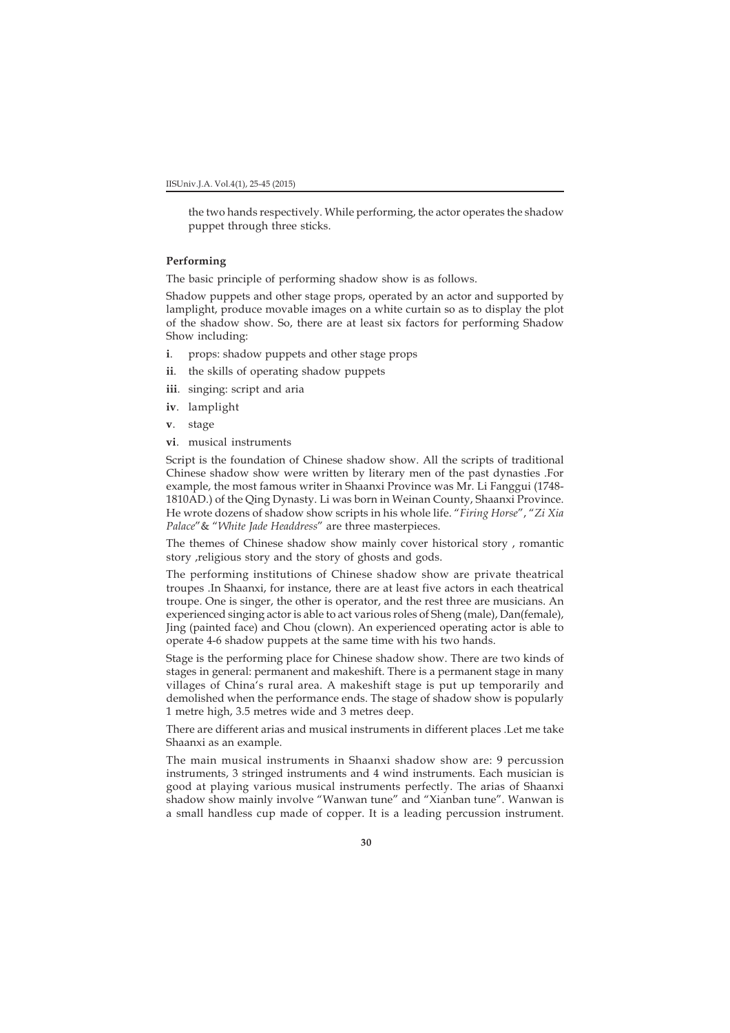the two hands respectively. While performing, the actor operates the shadow puppet through three sticks.

## **Performing**

The basic principle of performing shadow show is as follows.

Shadow puppets and other stage props, operated by an actor and supported by lamplight, produce movable images on a white curtain so as to display the plot of the shadow show. So, there are at least six factors for performing Shadow Show including:

- **i**. props: shadow puppets and other stage props
- **ii**. the skills of operating shadow puppets
- **iii**. singing: script and aria
- **iv**. lamplight
- **v**. stage
- **vi**. musical instruments

Script is the foundation of Chinese shadow show. All the scripts of traditional Chinese shadow show were written by literary men of the past dynasties .For example, the most famous writer in Shaanxi Province was Mr. Li Fanggui (1748- 1810AD.) of the Qing Dynasty. Li was born in Weinan County, Shaanxi Province. He wrote dozens of shadow show scripts in his whole life. "*Firing Horse*", "*Zi Xia Palace*"& "*White Jade Headdress*" are three masterpieces.

The themes of Chinese shadow show mainly cover historical story , romantic story ,religious story and the story of ghosts and gods.

The performing institutions of Chinese shadow show are private theatrical troupes .In Shaanxi, for instance, there are at least five actors in each theatrical troupe. One is singer, the other is operator, and the rest three are musicians. An experienced singing actor is able to act various roles of Sheng (male), Dan(female), Jing (painted face) and Chou (clown). An experienced operating actor is able to operate 4-6 shadow puppets at the same time with his two hands.

Stage is the performing place for Chinese shadow show. There are two kinds of stages in general: permanent and makeshift. There is a permanent stage in many villages of China's rural area. A makeshift stage is put up temporarily and demolished when the performance ends. The stage of shadow show is popularly 1 metre high, 3.5 metres wide and 3 metres deep.

There are different arias and musical instruments in different places .Let me take Shaanxi as an example.

The main musical instruments in Shaanxi shadow show are: 9 percussion instruments, 3 stringed instruments and 4 wind instruments. Each musician is good at playing various musical instruments perfectly. The arias of Shaanxi shadow show mainly involve "Wanwan tune" and "Xianban tune". Wanwan is a small handless cup made of copper. It is a leading percussion instrument.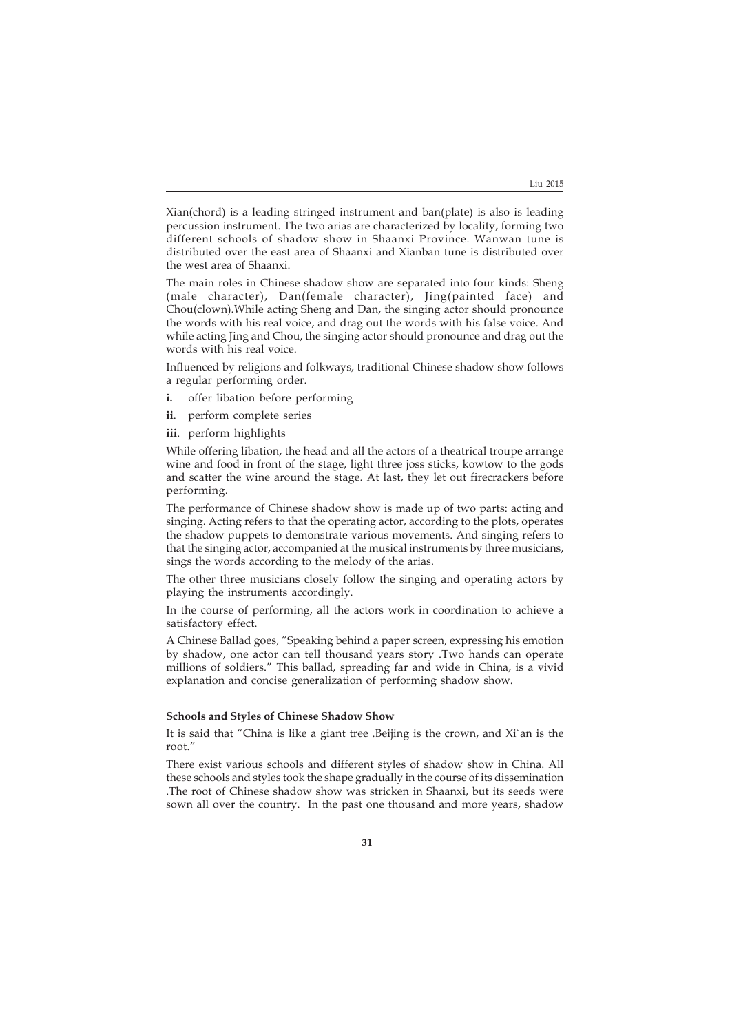Xian(chord) is a leading stringed instrument and ban(plate) is also is leading percussion instrument. The two arias are characterized by locality, forming two different schools of shadow show in Shaanxi Province. Wanwan tune is distributed over the east area of Shaanxi and Xianban tune is distributed over the west area of Shaanxi.

The main roles in Chinese shadow show are separated into four kinds: Sheng (male character), Dan(female character), Jing(painted face) and Chou(clown).While acting Sheng and Dan, the singing actor should pronounce the words with his real voice, and drag out the words with his false voice. And while acting Jing and Chou, the singing actor should pronounce and drag out the words with his real voice.

Influenced by religions and folkways, traditional Chinese shadow show follows a regular performing order.

- **i.** offer libation before performing
- **ii**. perform complete series
- **iii**. perform highlights

While offering libation, the head and all the actors of a theatrical troupe arrange wine and food in front of the stage, light three joss sticks, kowtow to the gods and scatter the wine around the stage. At last, they let out firecrackers before performing.

The performance of Chinese shadow show is made up of two parts: acting and singing. Acting refers to that the operating actor, according to the plots, operates the shadow puppets to demonstrate various movements. And singing refers to that the singing actor, accompanied at the musical instruments by three musicians, sings the words according to the melody of the arias.

The other three musicians closely follow the singing and operating actors by playing the instruments accordingly.

In the course of performing, all the actors work in coordination to achieve a satisfactory effect.

A Chinese Ballad goes, "Speaking behind a paper screen, expressing his emotion by shadow, one actor can tell thousand years story .Two hands can operate millions of soldiers." This ballad, spreading far and wide in China, is a vivid explanation and concise generalization of performing shadow show.

# **Schools and Styles of Chinese Shadow Show**

It is said that "China is like a giant tree .Beijing is the crown, and Xi`an is the root."

There exist various schools and different styles of shadow show in China. All these schools and styles took the shape gradually in the course of its dissemination .The root of Chinese shadow show was stricken in Shaanxi, but its seeds were sown all over the country. In the past one thousand and more years, shadow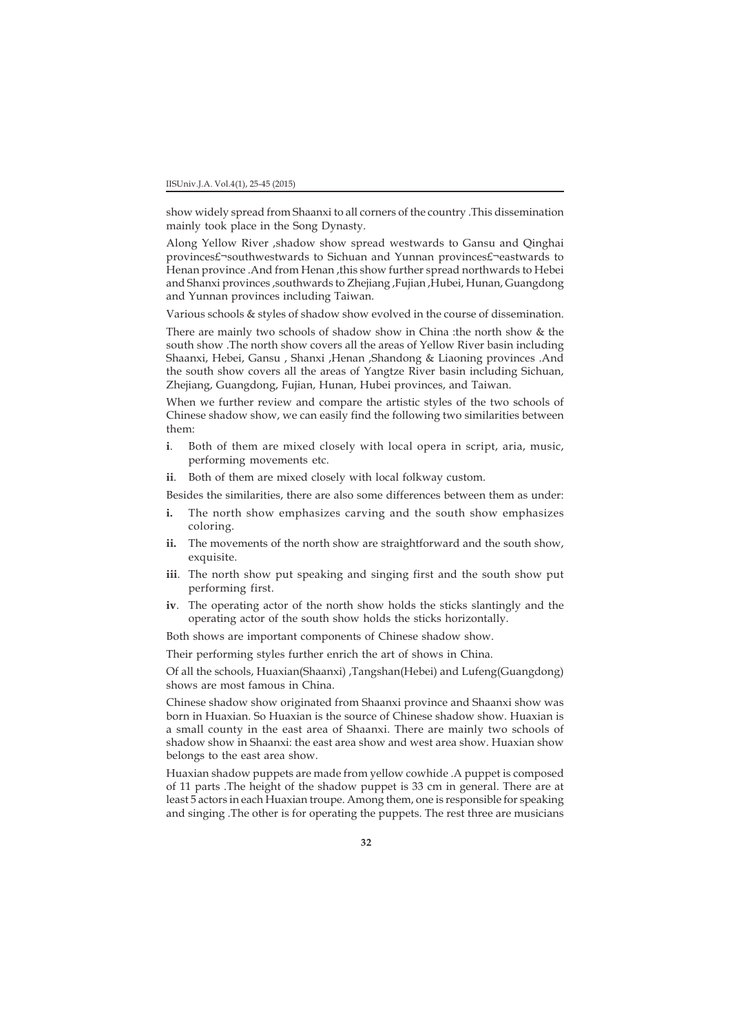show widely spread from Shaanxi to all corners of the country .This dissemination mainly took place in the Song Dynasty.

Along Yellow River ,shadow show spread westwards to Gansu and Qinghai provinces£¬southwestwards to Sichuan and Yunnan provinces£¬eastwards to Henan province .And from Henan ,this show further spread northwards to Hebei and Shanxi provinces ,southwards to Zhejiang ,Fujian ,Hubei, Hunan, Guangdong and Yunnan provinces including Taiwan.

Various schools & styles of shadow show evolved in the course of dissemination.

There are mainly two schools of shadow show in China :the north show & the south show .The north show covers all the areas of Yellow River basin including Shaanxi, Hebei, Gansu , Shanxi ,Henan ,Shandong & Liaoning provinces .And the south show covers all the areas of Yangtze River basin including Sichuan, Zhejiang, Guangdong, Fujian, Hunan, Hubei provinces, and Taiwan.

When we further review and compare the artistic styles of the two schools of Chinese shadow show, we can easily find the following two similarities between them:

**i**. Both of them are mixed closely with local opera in script, aria, music, performing movements etc.

**ii**. Both of them are mixed closely with local folkway custom.

Besides the similarities, there are also some differences between them as under:

- **i.** The north show emphasizes carving and the south show emphasizes coloring.
- **ii.** The movements of the north show are straightforward and the south show, exquisite.
- **iii**. The north show put speaking and singing first and the south show put performing first.
- **iv**. The operating actor of the north show holds the sticks slantingly and the operating actor of the south show holds the sticks horizontally.

Both shows are important components of Chinese shadow show.

Their performing styles further enrich the art of shows in China.

Of all the schools, Huaxian(Shaanxi) ,Tangshan(Hebei) and Lufeng(Guangdong) shows are most famous in China.

Chinese shadow show originated from Shaanxi province and Shaanxi show was born in Huaxian. So Huaxian is the source of Chinese shadow show. Huaxian is a small county in the east area of Shaanxi. There are mainly two schools of shadow show in Shaanxi: the east area show and west area show. Huaxian show belongs to the east area show.

Huaxian shadow puppets are made from yellow cowhide .A puppet is composed of 11 parts .The height of the shadow puppet is 33 cm in general. There are at least 5 actors in each Huaxian troupe. Among them, one is responsible for speaking and singing .The other is for operating the puppets. The rest three are musicians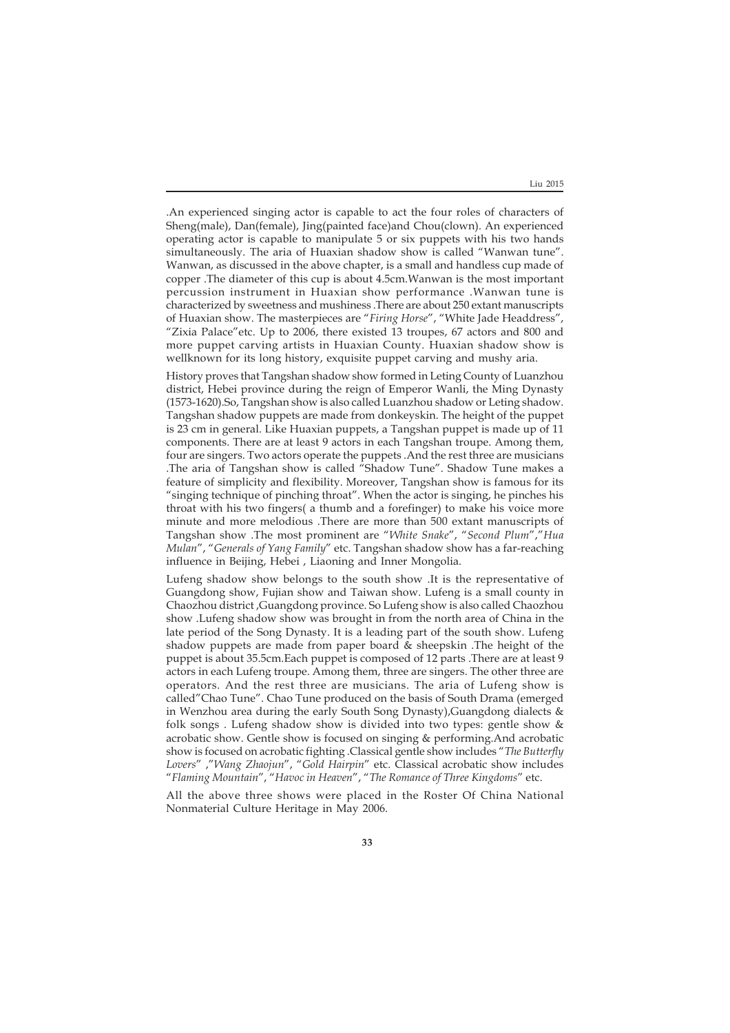Liu 2015

.An experienced singing actor is capable to act the four roles of characters of Sheng(male), Dan(female), Jing(painted face)and Chou(clown). An experienced operating actor is capable to manipulate 5 or six puppets with his two hands simultaneously. The aria of Huaxian shadow show is called "Wanwan tune". Wanwan, as discussed in the above chapter, is a small and handless cup made of copper .The diameter of this cup is about 4.5cm.Wanwan is the most important percussion instrument in Huaxian show performance .Wanwan tune is characterized by sweetness and mushiness .There are about 250 extant manuscripts of Huaxian show. The masterpieces are "*Firing Horse*", "White Jade Headdress", "Zixia Palace"etc. Up to 2006, there existed 13 troupes, 67 actors and 800 and more puppet carving artists in Huaxian County. Huaxian shadow show is wellknown for its long history, exquisite puppet carving and mushy aria.

History proves that Tangshan shadow show formed in Leting County of Luanzhou district, Hebei province during the reign of Emperor Wanli, the Ming Dynasty (1573-1620).So, Tangshan show is also called Luanzhou shadow or Leting shadow. Tangshan shadow puppets are made from donkeyskin. The height of the puppet is 23 cm in general. Like Huaxian puppets, a Tangshan puppet is made up of 11 components. There are at least 9 actors in each Tangshan troupe. Among them, four are singers. Two actors operate the puppets .And the rest three are musicians .The aria of Tangshan show is called "Shadow Tune". Shadow Tune makes a feature of simplicity and flexibility. Moreover, Tangshan show is famous for its "singing technique of pinching throat". When the actor is singing, he pinches his throat with his two fingers( a thumb and a forefinger) to make his voice more minute and more melodious .There are more than 500 extant manuscripts of Tangshan show .The most prominent are "*White Snake*", "*Second Plum*","*Hua Mulan*", "*Generals of Yang Family*" etc. Tangshan shadow show has a far-reaching influence in Beijing, Hebei , Liaoning and Inner Mongolia.

Lufeng shadow show belongs to the south show .It is the representative of Guangdong show, Fujian show and Taiwan show. Lufeng is a small county in Chaozhou district ,Guangdong province. So Lufeng show is also called Chaozhou show .Lufeng shadow show was brought in from the north area of China in the late period of the Song Dynasty. It is a leading part of the south show. Lufeng shadow puppets are made from paper board & sheepskin .The height of the puppet is about 35.5cm.Each puppet is composed of 12 parts .There are at least 9 actors in each Lufeng troupe. Among them, three are singers. The other three are operators. And the rest three are musicians. The aria of Lufeng show is called"Chao Tune". Chao Tune produced on the basis of South Drama (emerged in Wenzhou area during the early South Song Dynasty),Guangdong dialects & folk songs . Lufeng shadow show is divided into two types: gentle show & acrobatic show. Gentle show is focused on singing & performing.And acrobatic show is focused on acrobatic fighting .Classical gentle show includes "*The Butterfly Lovers*" ,"*Wang Zhaojun*", "*Gold Hairpin*" etc. Classical acrobatic show includes "*Flaming Mountain*", "*Havoc in Heaven*", "*The Romance of Three Kingdoms*" etc.

All the above three shows were placed in the Roster Of China National Nonmaterial Culture Heritage in May 2006.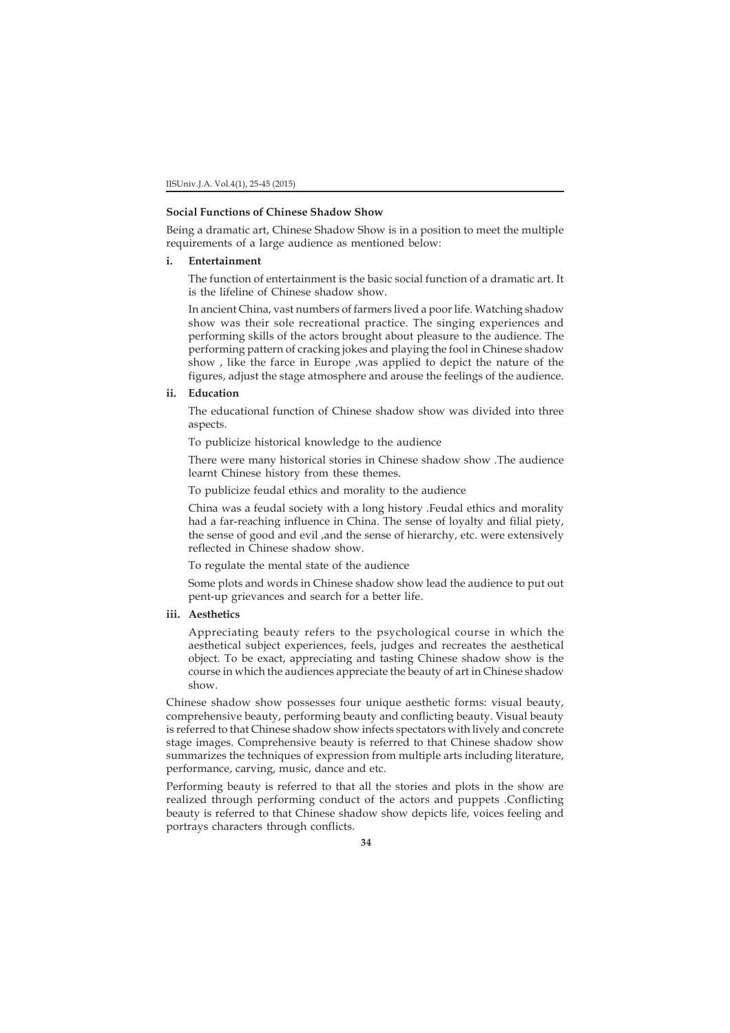#### **Social Functions of Chinese Shadow Show**

Being a dramatic art, Chinese Shadow Show is in a position to meet the multiple requirements of a large audience as mentioned below:

## **i. Entertainment**

The function of entertainment is the basic social function of a dramatic art. It is the lifeline of Chinese shadow show.

In ancient China, vast numbers of farmers lived a poor life. Watching shadow show was their sole recreational practice. The singing experiences and performing skills of the actors brought about pleasure to the audience. The performing pattern of cracking jokes and playing the fool in Chinese shadow show , like the farce in Europe ,was applied to depict the nature of the figures, adjust the stage atmosphere and arouse the feelings of the audience.

#### **ii. Education**

The educational function of Chinese shadow show was divided into three aspects.

To publicize historical knowledge to the audience

There were many historical stories in Chinese shadow show .The audience learnt Chinese history from these themes.

To publicize feudal ethics and morality to the audience

China was a feudal society with a long history .Feudal ethics and morality had a far-reaching influence in China. The sense of loyalty and filial piety, the sense of good and evil , and the sense of hierarchy, etc. were extensively reflected in Chinese shadow show.

To regulate the mental state of the audience

Some plots and words in Chinese shadow show lead the audience to put out pent-up grievances and search for a better life.

# **iii. Aesthetics**

Appreciating beauty refers to the psychological course in which the aesthetical subject experiences, feels, judges and recreates the aesthetical object. To be exact, appreciating and tasting Chinese shadow show is the course in which the audiences appreciate the beauty of art in Chinese shadow show.

Chinese shadow show possesses four unique aesthetic forms: visual beauty, comprehensive beauty, performing beauty and conflicting beauty. Visual beauty is referred to that Chinese shadow show infects spectators with lively and concrete stage images. Comprehensive beauty is referred to that Chinese shadow show summarizes the techniques of expression from multiple arts including literature, performance, carving, music, dance and etc.

Performing beauty is referred to that all the stories and plots in the show are realized through performing conduct of the actors and puppets .Conflicting beauty is referred to that Chinese shadow show depicts life, voices feeling and portrays characters through conflicts.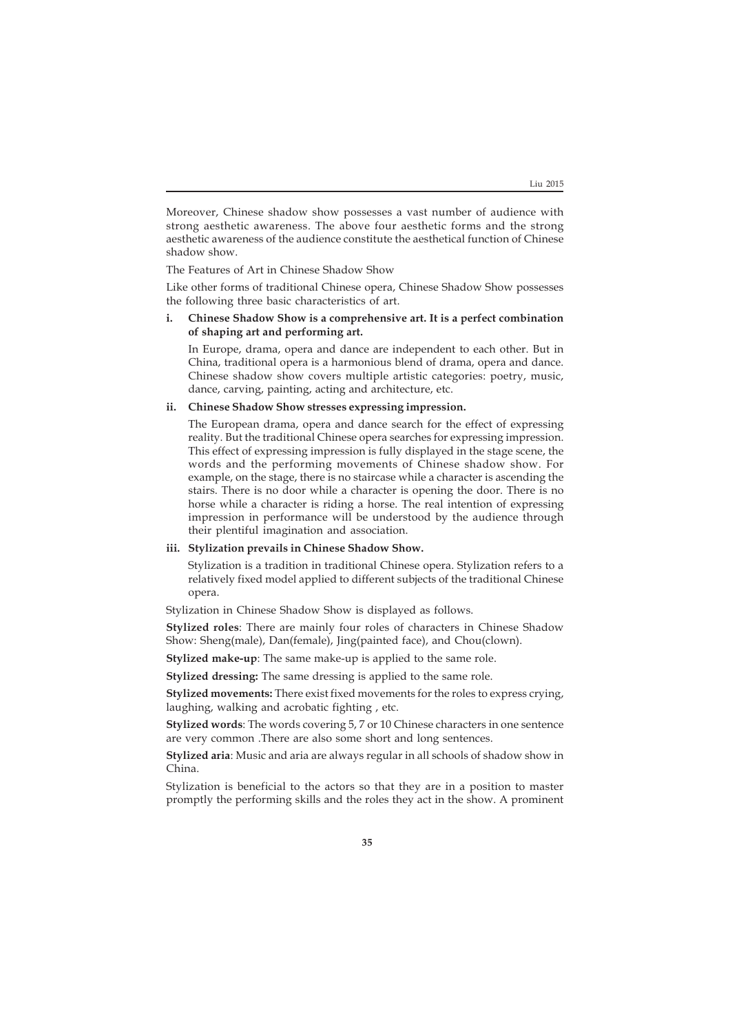Moreover, Chinese shadow show possesses a vast number of audience with strong aesthetic awareness. The above four aesthetic forms and the strong aesthetic awareness of the audience constitute the aesthetical function of Chinese shadow show.

The Features of Art in Chinese Shadow Show

Like other forms of traditional Chinese opera, Chinese Shadow Show possesses the following three basic characteristics of art.

# **i. Chinese Shadow Show is a comprehensive art. It is a perfect combination of shaping art and performing art.**

In Europe, drama, opera and dance are independent to each other. But in China, traditional opera is a harmonious blend of drama, opera and dance. Chinese shadow show covers multiple artistic categories: poetry, music, dance, carving, painting, acting and architecture, etc.

# **ii. Chinese Shadow Show stresses expressing impression.**

The European drama, opera and dance search for the effect of expressing reality. But the traditional Chinese opera searches for expressing impression. This effect of expressing impression is fully displayed in the stage scene, the words and the performing movements of Chinese shadow show. For example, on the stage, there is no staircase while a character is ascending the stairs. There is no door while a character is opening the door. There is no horse while a character is riding a horse. The real intention of expressing impression in performance will be understood by the audience through their plentiful imagination and association.

#### **iii. Stylization prevails in Chinese Shadow Show.**

Stylization is a tradition in traditional Chinese opera. Stylization refers to a relatively fixed model applied to different subjects of the traditional Chinese opera.

Stylization in Chinese Shadow Show is displayed as follows.

**Stylized roles**: There are mainly four roles of characters in Chinese Shadow Show: Sheng(male), Dan(female), Jing(painted face), and Chou(clown).

**Stylized make-up**: The same make-up is applied to the same role.

**Stylized dressing:** The same dressing is applied to the same role.

**Stylized movements:** There exist fixed movements for the roles to express crying, laughing, walking and acrobatic fighting , etc.

**Stylized words**: The words covering 5, 7 or 10 Chinese characters in one sentence are very common .There are also some short and long sentences.

**Stylized aria**: Music and aria are always regular in all schools of shadow show in China.

Stylization is beneficial to the actors so that they are in a position to master promptly the performing skills and the roles they act in the show. A prominent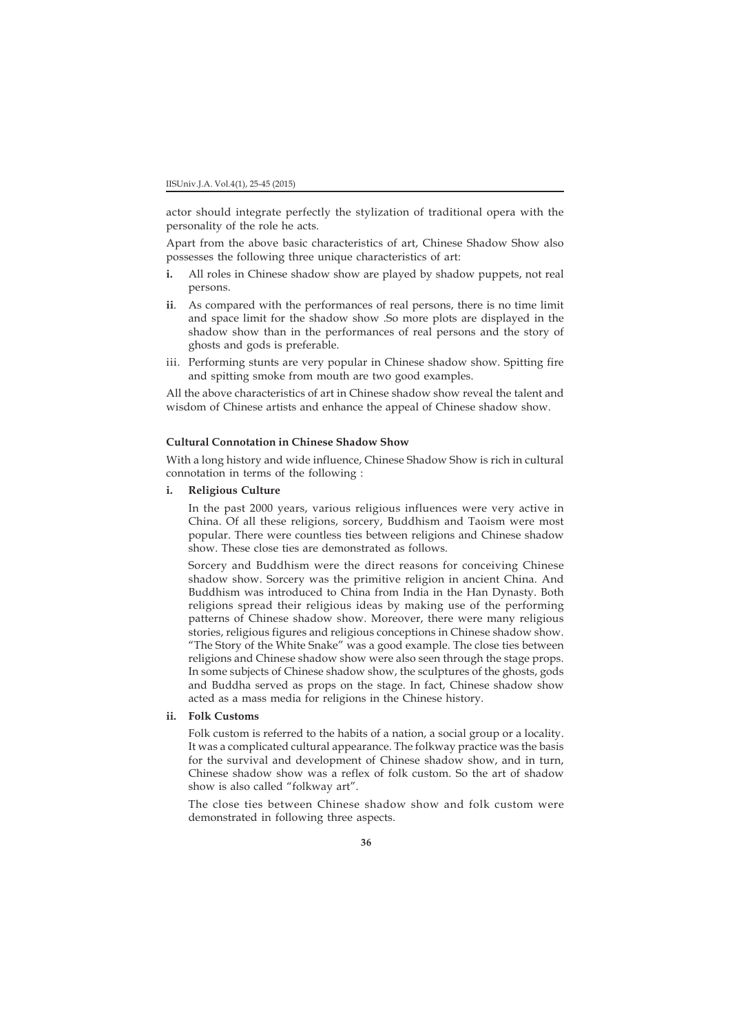actor should integrate perfectly the stylization of traditional opera with the personality of the role he acts.

Apart from the above basic characteristics of art, Chinese Shadow Show also possesses the following three unique characteristics of art:

- **i.** All roles in Chinese shadow show are played by shadow puppets, not real persons.
- **ii**. As compared with the performances of real persons, there is no time limit and space limit for the shadow show .So more plots are displayed in the shadow show than in the performances of real persons and the story of ghosts and gods is preferable.
- iii. Performing stunts are very popular in Chinese shadow show. Spitting fire and spitting smoke from mouth are two good examples.

All the above characteristics of art in Chinese shadow show reveal the talent and wisdom of Chinese artists and enhance the appeal of Chinese shadow show.

#### **Cultural Connotation in Chinese Shadow Show**

With a long history and wide influence, Chinese Shadow Show is rich in cultural connotation in terms of the following :

**i. Religious Culture**

In the past 2000 years, various religious influences were very active in China. Of all these religions, sorcery, Buddhism and Taoism were most popular. There were countless ties between religions and Chinese shadow show. These close ties are demonstrated as follows.

Sorcery and Buddhism were the direct reasons for conceiving Chinese shadow show. Sorcery was the primitive religion in ancient China. And Buddhism was introduced to China from India in the Han Dynasty. Both religions spread their religious ideas by making use of the performing patterns of Chinese shadow show. Moreover, there were many religious stories, religious figures and religious conceptions in Chinese shadow show. "The Story of the White Snake" was a good example. The close ties between religions and Chinese shadow show were also seen through the stage props. In some subjects of Chinese shadow show, the sculptures of the ghosts, gods and Buddha served as props on the stage. In fact, Chinese shadow show acted as a mass media for religions in the Chinese history.

# **ii. Folk Customs**

Folk custom is referred to the habits of a nation, a social group or a locality. It was a complicated cultural appearance. The folkway practice was the basis for the survival and development of Chinese shadow show, and in turn, Chinese shadow show was a reflex of folk custom. So the art of shadow show is also called "folkway art".

The close ties between Chinese shadow show and folk custom were demonstrated in following three aspects.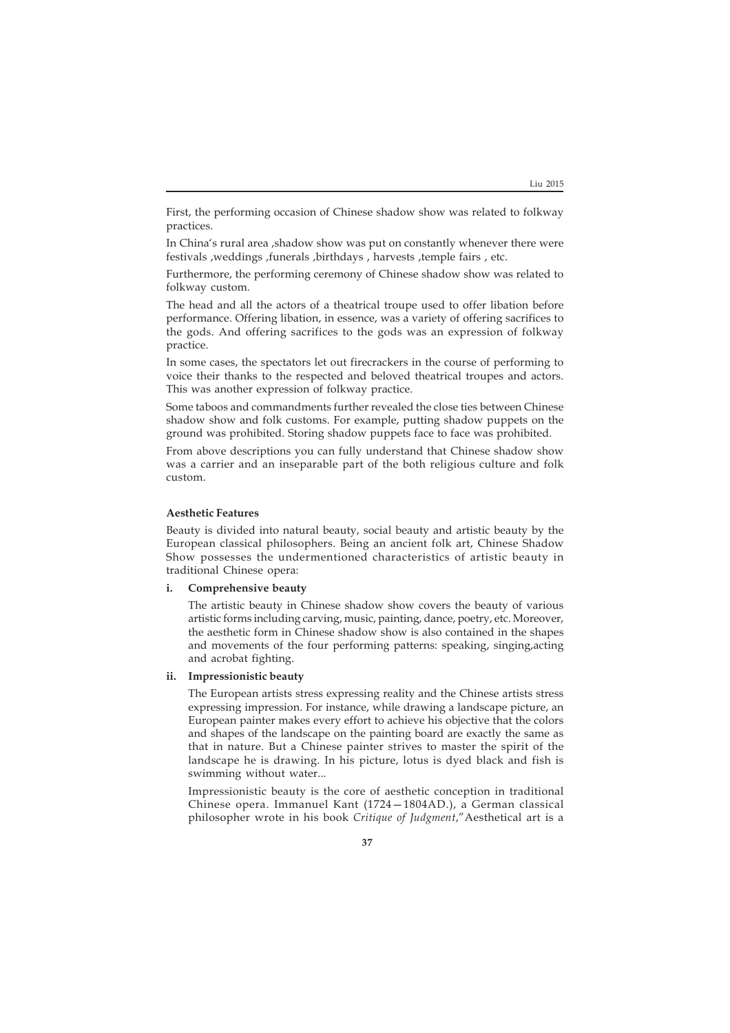First, the performing occasion of Chinese shadow show was related to folkway practices.

In China's rural area , shadow show was put on constantly whenever there were festivals ,weddings ,funerals ,birthdays , harvests ,temple fairs , etc.

Furthermore, the performing ceremony of Chinese shadow show was related to folkway custom.

The head and all the actors of a theatrical troupe used to offer libation before performance. Offering libation, in essence, was a variety of offering sacrifices to the gods. And offering sacrifices to the gods was an expression of folkway practice.

In some cases, the spectators let out firecrackers in the course of performing to voice their thanks to the respected and beloved theatrical troupes and actors. This was another expression of folkway practice.

Some taboos and commandments further revealed the close ties between Chinese shadow show and folk customs. For example, putting shadow puppets on the ground was prohibited. Storing shadow puppets face to face was prohibited.

From above descriptions you can fully understand that Chinese shadow show was a carrier and an inseparable part of the both religious culture and folk custom.

#### **Aesthetic Features**

Beauty is divided into natural beauty, social beauty and artistic beauty by the European classical philosophers. Being an ancient folk art, Chinese Shadow Show possesses the undermentioned characteristics of artistic beauty in traditional Chinese opera:

#### **i. Comprehensive beauty**

The artistic beauty in Chinese shadow show covers the beauty of various artistic forms including carving, music, painting, dance, poetry, etc. Moreover, the aesthetic form in Chinese shadow show is also contained in the shapes and movements of the four performing patterns: speaking, singing,acting and acrobat fighting.

## **ii. Impressionistic beauty**

The European artists stress expressing reality and the Chinese artists stress expressing impression. For instance, while drawing a landscape picture, an European painter makes every effort to achieve his objective that the colors and shapes of the landscape on the painting board are exactly the same as that in nature. But a Chinese painter strives to master the spirit of the landscape he is drawing. In his picture, lotus is dyed black and fish is swimming without water...

Impressionistic beauty is the core of aesthetic conception in traditional Chinese opera. Immanuel Kant (1724—1804AD.), a German classical philosopher wrote in his book *Critique of Judgment*,"Aesthetical art is a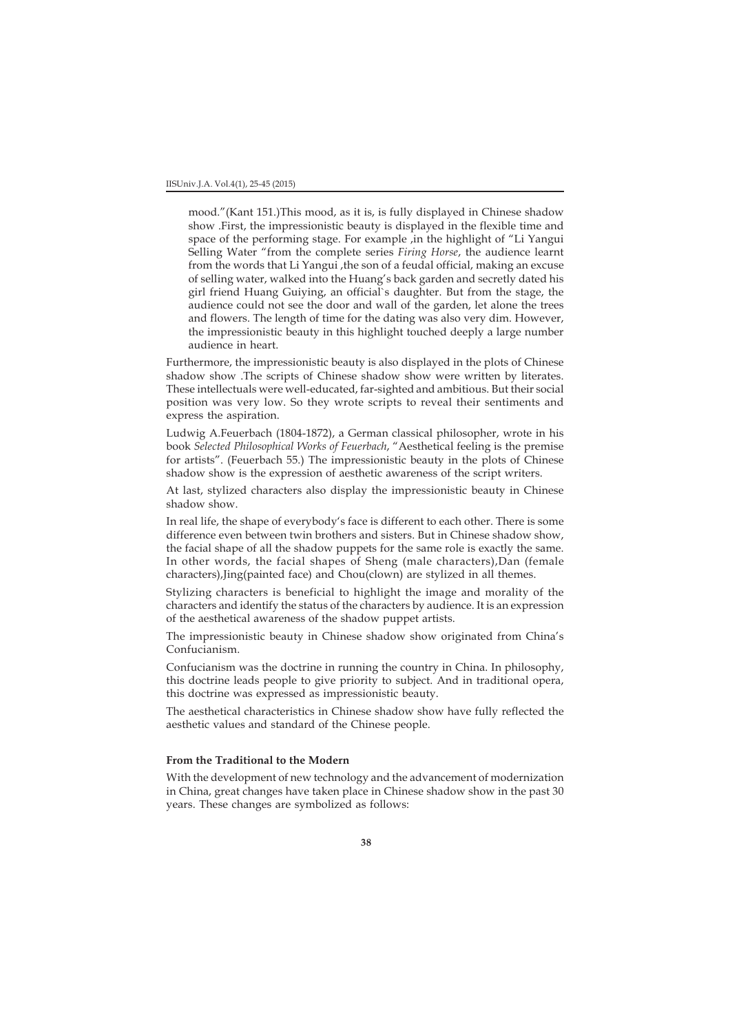mood."(Kant 151.)This mood, as it is, is fully displayed in Chinese shadow show .First, the impressionistic beauty is displayed in the flexible time and space of the performing stage. For example ,in the highlight of "Li Yangui Selling Water "from the complete series *Firing Horse*, the audience learnt from the words that Li Yangui ,the son of a feudal official, making an excuse of selling water, walked into the Huang's back garden and secretly dated his girl friend Huang Guiying, an official`s daughter. But from the stage, the audience could not see the door and wall of the garden, let alone the trees and flowers. The length of time for the dating was also very dim. However, the impressionistic beauty in this highlight touched deeply a large number audience in heart.

Furthermore, the impressionistic beauty is also displayed in the plots of Chinese shadow show .The scripts of Chinese shadow show were written by literates. These intellectuals were well-educated, far-sighted and ambitious. But their social position was very low. So they wrote scripts to reveal their sentiments and express the aspiration.

Ludwig A.Feuerbach (1804-1872), a German classical philosopher, wrote in his book *Selected Philosophical Works of Feuerbach*, "Aesthetical feeling is the premise for artists". (Feuerbach 55.) The impressionistic beauty in the plots of Chinese shadow show is the expression of aesthetic awareness of the script writers.

At last, stylized characters also display the impressionistic beauty in Chinese shadow show.

In real life, the shape of everybody's face is different to each other. There is some difference even between twin brothers and sisters. But in Chinese shadow show, the facial shape of all the shadow puppets for the same role is exactly the same. In other words, the facial shapes of Sheng (male characters),Dan (female characters),Jing(painted face) and Chou(clown) are stylized in all themes.

Stylizing characters is beneficial to highlight the image and morality of the characters and identify the status of the characters by audience. It is an expression of the aesthetical awareness of the shadow puppet artists.

The impressionistic beauty in Chinese shadow show originated from China's Confucianism.

Confucianism was the doctrine in running the country in China. In philosophy, this doctrine leads people to give priority to subject. And in traditional opera, this doctrine was expressed as impressionistic beauty.

The aesthetical characteristics in Chinese shadow show have fully reflected the aesthetic values and standard of the Chinese people.

# **From the Traditional to the Modern**

With the development of new technology and the advancement of modernization in China, great changes have taken place in Chinese shadow show in the past 30 years. These changes are symbolized as follows: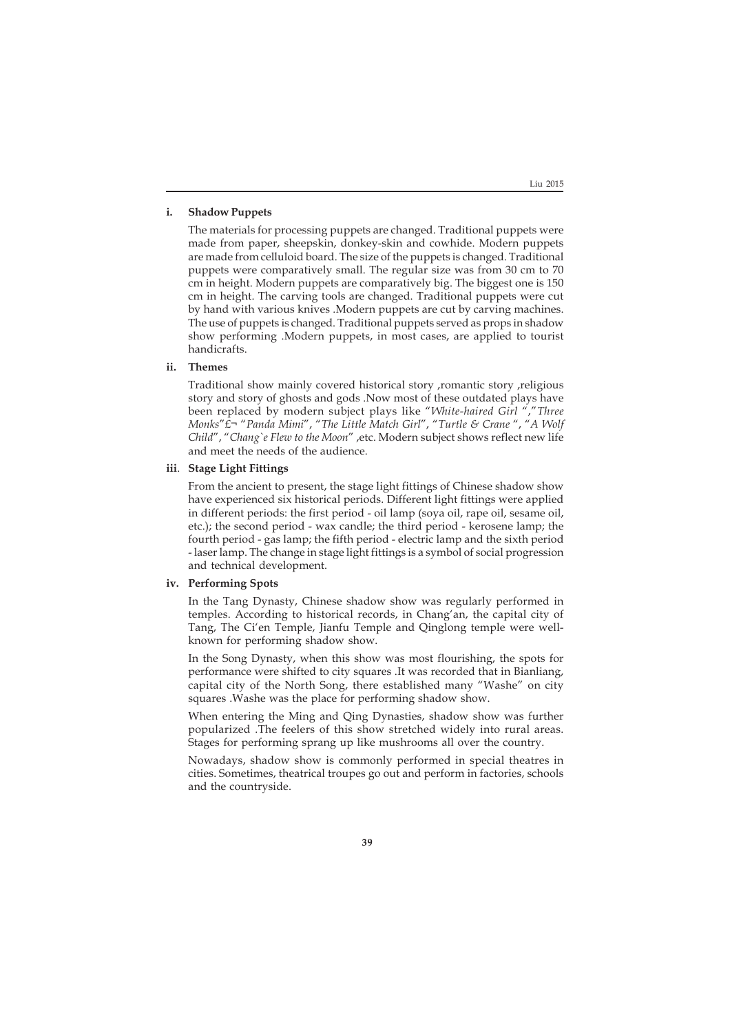# **i. Shadow Puppets**

The materials for processing puppets are changed. Traditional puppets were made from paper, sheepskin, donkey-skin and cowhide. Modern puppets are made from celluloid board. The size of the puppets is changed. Traditional puppets were comparatively small. The regular size was from 30 cm to 70 cm in height. Modern puppets are comparatively big. The biggest one is 150 cm in height. The carving tools are changed. Traditional puppets were cut by hand with various knives .Modern puppets are cut by carving machines. The use of puppets is changed. Traditional puppets served as props in shadow show performing .Modern puppets, in most cases, are applied to tourist handicrafts.

## **ii. Themes**

Traditional show mainly covered historical story ,romantic story ,religious story and story of ghosts and gods .Now most of these outdated plays have been replaced by modern subject plays like "*White-haired Girl* ","*Three Monks*"£¬ "*Panda Mimi*", "*The Little Match Girl*", "*Turtle & Crane* ", "*A Wolf Child*", "*Chang`e Flew to the Moon*" ,etc. Modern subject shows reflect new life and meet the needs of the audience.

#### **iii**. **Stage Light Fittings**

From the ancient to present, the stage light fittings of Chinese shadow show have experienced six historical periods. Different light fittings were applied in different periods: the first period - oil lamp (soya oil, rape oil, sesame oil, etc.); the second period - wax candle; the third period - kerosene lamp; the fourth period - gas lamp; the fifth period - electric lamp and the sixth period - laser lamp. The change in stage light fittings is a symbol of social progression and technical development.

## **iv. Performing Spots**

In the Tang Dynasty, Chinese shadow show was regularly performed in temples. According to historical records, in Chang'an, the capital city of Tang, The Ci'en Temple, Jianfu Temple and Qinglong temple were wellknown for performing shadow show.

In the Song Dynasty, when this show was most flourishing, the spots for performance were shifted to city squares .It was recorded that in Bianliang, capital city of the North Song, there established many "Washe" on city squares .Washe was the place for performing shadow show.

When entering the Ming and Qing Dynasties, shadow show was further popularized .The feelers of this show stretched widely into rural areas. Stages for performing sprang up like mushrooms all over the country.

Nowadays, shadow show is commonly performed in special theatres in cities. Sometimes, theatrical troupes go out and perform in factories, schools and the countryside.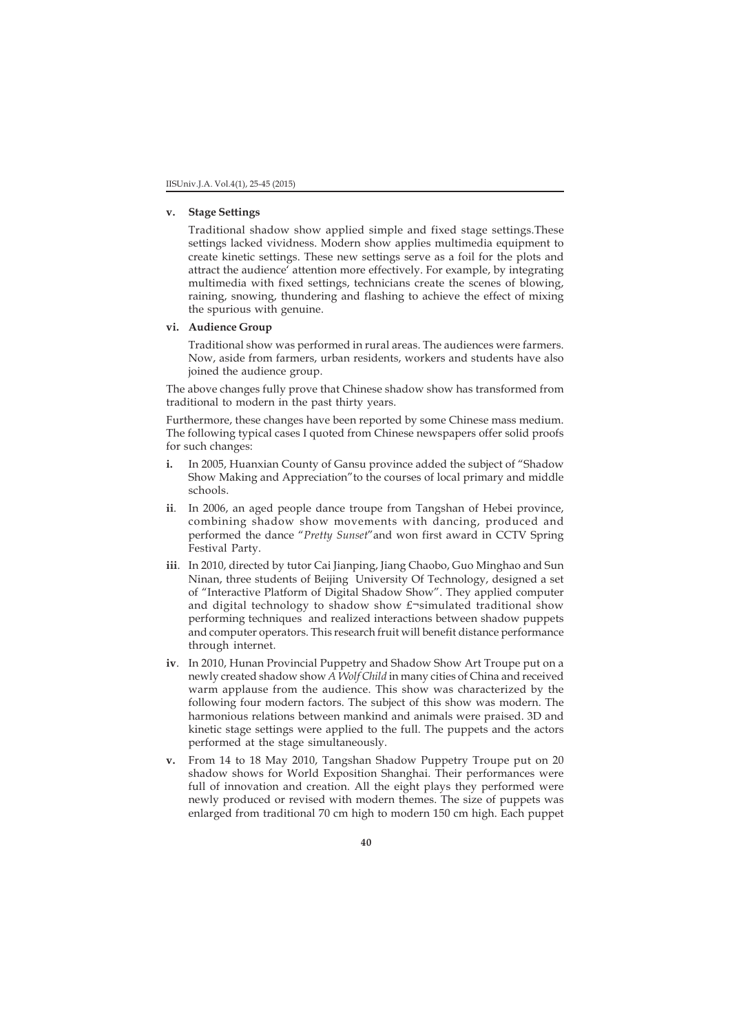## **v. Stage Settings**

Traditional shadow show applied simple and fixed stage settings.These settings lacked vividness. Modern show applies multimedia equipment to create kinetic settings. These new settings serve as a foil for the plots and attract the audience' attention more effectively. For example, by integrating multimedia with fixed settings, technicians create the scenes of blowing, raining, snowing, thundering and flashing to achieve the effect of mixing the spurious with genuine.

#### **vi. Audience Group**

Traditional show was performed in rural areas. The audiences were farmers. Now, aside from farmers, urban residents, workers and students have also joined the audience group.

The above changes fully prove that Chinese shadow show has transformed from traditional to modern in the past thirty years.

Furthermore, these changes have been reported by some Chinese mass medium. The following typical cases I quoted from Chinese newspapers offer solid proofs for such changes:

- **i.** In 2005, Huanxian County of Gansu province added the subject of "Shadow Show Making and Appreciation"to the courses of local primary and middle schools.
- **ii**. In 2006, an aged people dance troupe from Tangshan of Hebei province, combining shadow show movements with dancing, produced and performed the dance "*Pretty Sunset*"and won first award in CCTV Spring Festival Party.
- **iii**. In 2010, directed by tutor Cai Jianping, Jiang Chaobo, Guo Minghao and Sun Ninan, three students of Beijing University Of Technology, designed a set of "Interactive Platform of Digital Shadow Show". They applied computer and digital technology to shadow show  $\pounds$ -simulated traditional show performing techniques and realized interactions between shadow puppets and computer operators. This research fruit will benefit distance performance through internet.
- **iv**. In 2010, Hunan Provincial Puppetry and Shadow Show Art Troupe put on a newly created shadow show *A Wolf Child* in many cities of China and received warm applause from the audience. This show was characterized by the following four modern factors. The subject of this show was modern. The harmonious relations between mankind and animals were praised. 3D and kinetic stage settings were applied to the full. The puppets and the actors performed at the stage simultaneously.
- **v.** From 14 to 18 May 2010, Tangshan Shadow Puppetry Troupe put on 20 shadow shows for World Exposition Shanghai. Their performances were full of innovation and creation. All the eight plays they performed were newly produced or revised with modern themes. The size of puppets was enlarged from traditional 70 cm high to modern 150 cm high. Each puppet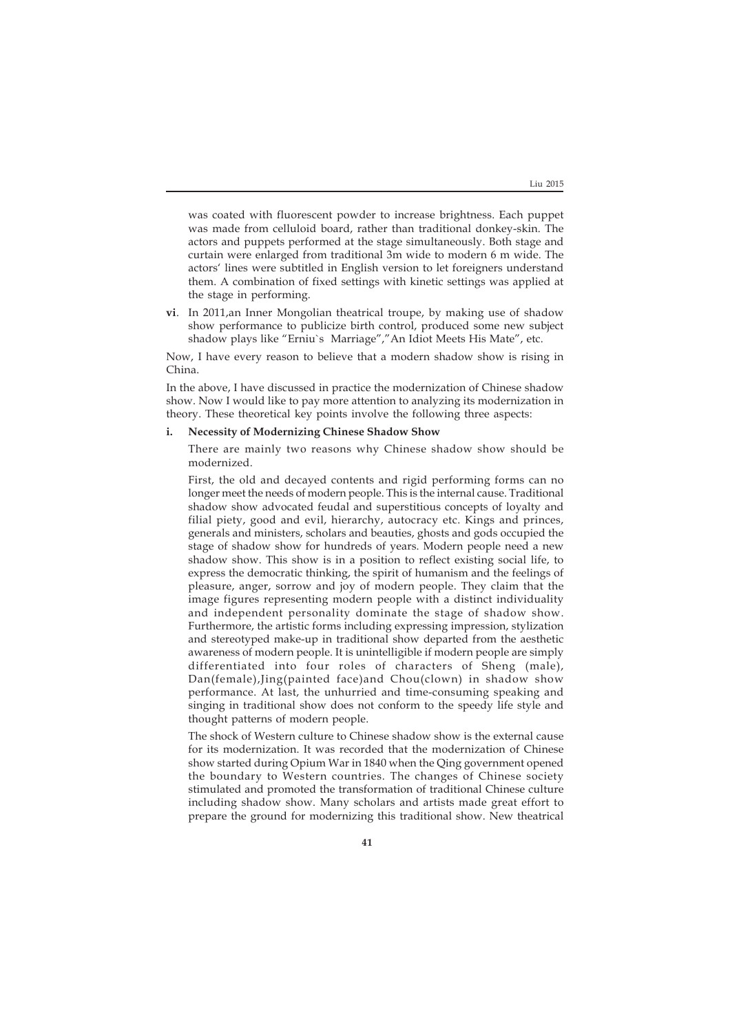was coated with fluorescent powder to increase brightness. Each puppet was made from celluloid board, rather than traditional donkey-skin. The actors and puppets performed at the stage simultaneously. Both stage and curtain were enlarged from traditional 3m wide to modern 6 m wide. The actors' lines were subtitled in English version to let foreigners understand them. A combination of fixed settings with kinetic settings was applied at the stage in performing.

**vi**. In 2011,an Inner Mongolian theatrical troupe, by making use of shadow show performance to publicize birth control, produced some new subject shadow plays like "Erniu`s Marriage","An Idiot Meets His Mate", etc.

Now, I have every reason to believe that a modern shadow show is rising in China.

In the above, I have discussed in practice the modernization of Chinese shadow show. Now I would like to pay more attention to analyzing its modernization in theory. These theoretical key points involve the following three aspects:

#### **i. Necessity of Modernizing Chinese Shadow Show**

There are mainly two reasons why Chinese shadow show should be modernized.

First, the old and decayed contents and rigid performing forms can no longer meet the needs of modern people. This is the internal cause. Traditional shadow show advocated feudal and superstitious concepts of loyalty and filial piety, good and evil, hierarchy, autocracy etc. Kings and princes, generals and ministers, scholars and beauties, ghosts and gods occupied the stage of shadow show for hundreds of years. Modern people need a new shadow show. This show is in a position to reflect existing social life, to express the democratic thinking, the spirit of humanism and the feelings of pleasure, anger, sorrow and joy of modern people. They claim that the image figures representing modern people with a distinct individuality and independent personality dominate the stage of shadow show. Furthermore, the artistic forms including expressing impression, stylization and stereotyped make-up in traditional show departed from the aesthetic awareness of modern people. It is unintelligible if modern people are simply differentiated into four roles of characters of Sheng (male), Dan(female),Jing(painted face)and Chou(clown) in shadow show performance. At last, the unhurried and time-consuming speaking and singing in traditional show does not conform to the speedy life style and thought patterns of modern people.

The shock of Western culture to Chinese shadow show is the external cause for its modernization. It was recorded that the modernization of Chinese show started during Opium War in 1840 when the Qing government opened the boundary to Western countries. The changes of Chinese society stimulated and promoted the transformation of traditional Chinese culture including shadow show. Many scholars and artists made great effort to prepare the ground for modernizing this traditional show. New theatrical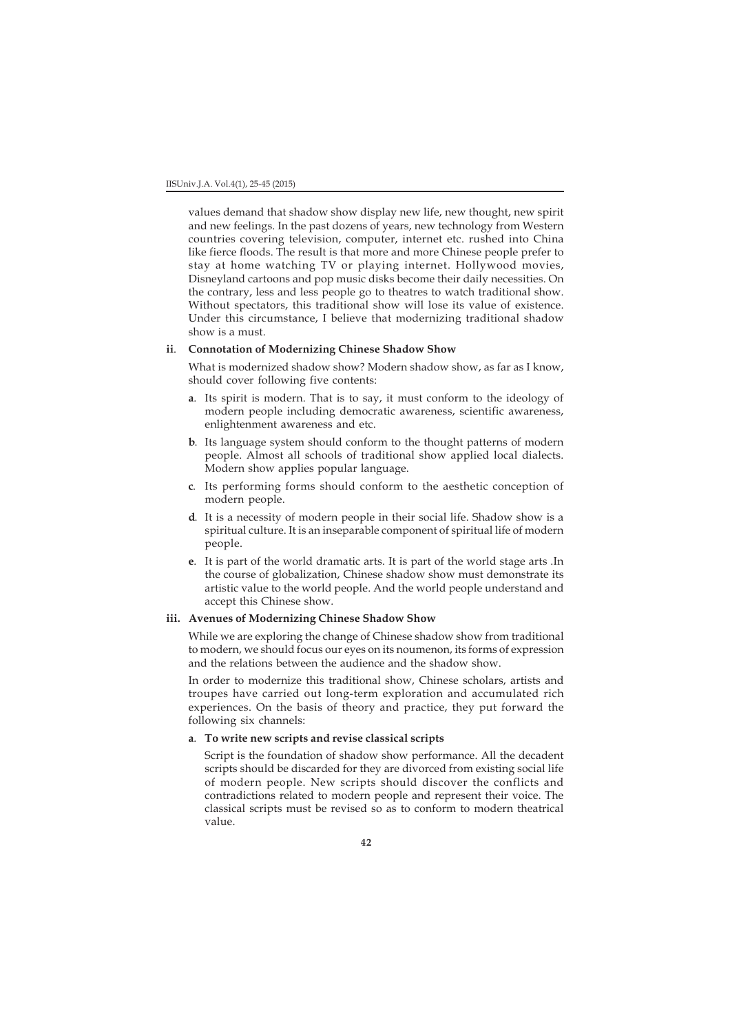values demand that shadow show display new life, new thought, new spirit and new feelings. In the past dozens of years, new technology from Western countries covering television, computer, internet etc. rushed into China like fierce floods. The result is that more and more Chinese people prefer to stay at home watching TV or playing internet. Hollywood movies, Disneyland cartoons and pop music disks become their daily necessities. On the contrary, less and less people go to theatres to watch traditional show. Without spectators, this traditional show will lose its value of existence. Under this circumstance, I believe that modernizing traditional shadow show is a must.

#### **ii**. **Connotation of Modernizing Chinese Shadow Show**

What is modernized shadow show? Modern shadow show, as far as I know, should cover following five contents:

- **a**. Its spirit is modern. That is to say, it must conform to the ideology of modern people including democratic awareness, scientific awareness, enlightenment awareness and etc.
- **b**. Its language system should conform to the thought patterns of modern people. Almost all schools of traditional show applied local dialects. Modern show applies popular language.
- **c**. Its performing forms should conform to the aesthetic conception of modern people.
- **d**. It is a necessity of modern people in their social life. Shadow show is a spiritual culture. It is an inseparable component of spiritual life of modern people.
- **e**. It is part of the world dramatic arts. It is part of the world stage arts .In the course of globalization, Chinese shadow show must demonstrate its artistic value to the world people. And the world people understand and accept this Chinese show.

#### **iii. Avenues of Modernizing Chinese Shadow Show**

While we are exploring the change of Chinese shadow show from traditional to modern, we should focus our eyes on its noumenon, its forms of expression and the relations between the audience and the shadow show.

In order to modernize this traditional show, Chinese scholars, artists and troupes have carried out long-term exploration and accumulated rich experiences. On the basis of theory and practice, they put forward the following six channels:

# **a**. **To write new scripts and revise classical scripts**

Script is the foundation of shadow show performance. All the decadent scripts should be discarded for they are divorced from existing social life of modern people. New scripts should discover the conflicts and contradictions related to modern people and represent their voice. The classical scripts must be revised so as to conform to modern theatrical value.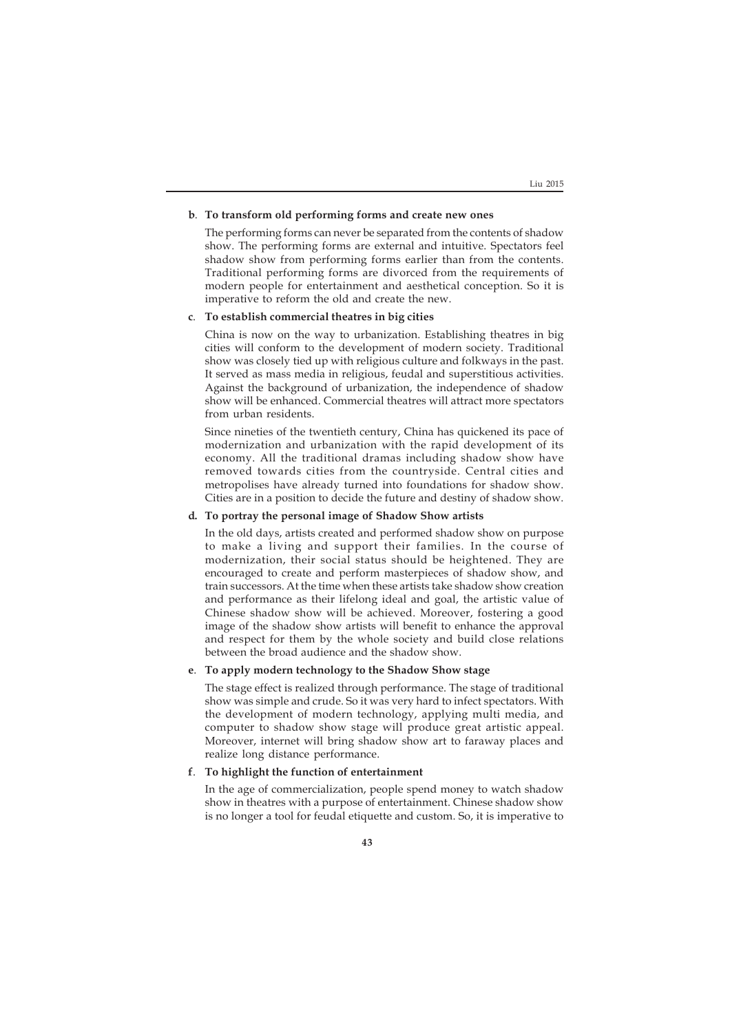#### **b**. **To transform old performing forms and create new ones**

The performing forms can never be separated from the contents of shadow show. The performing forms are external and intuitive. Spectators feel shadow show from performing forms earlier than from the contents. Traditional performing forms are divorced from the requirements of modern people for entertainment and aesthetical conception. So it is imperative to reform the old and create the new.

## **c**. **To establish commercial theatres in big cities**

China is now on the way to urbanization. Establishing theatres in big cities will conform to the development of modern society. Traditional show was closely tied up with religious culture and folkways in the past. It served as mass media in religious, feudal and superstitious activities. Against the background of urbanization, the independence of shadow show will be enhanced. Commercial theatres will attract more spectators from urban residents.

Since nineties of the twentieth century, China has quickened its pace of modernization and urbanization with the rapid development of its economy. All the traditional dramas including shadow show have removed towards cities from the countryside. Central cities and metropolises have already turned into foundations for shadow show. Cities are in a position to decide the future and destiny of shadow show.

# **d. To portray the personal image of Shadow Show artists**

In the old days, artists created and performed shadow show on purpose to make a living and support their families. In the course of modernization, their social status should be heightened. They are encouraged to create and perform masterpieces of shadow show, and train successors. At the time when these artists take shadow show creation and performance as their lifelong ideal and goal, the artistic value of Chinese shadow show will be achieved. Moreover, fostering a good image of the shadow show artists will benefit to enhance the approval and respect for them by the whole society and build close relations between the broad audience and the shadow show.

#### **e**. **To apply modern technology to the Shadow Show stage**

The stage effect is realized through performance. The stage of traditional show was simple and crude. So it was very hard to infect spectators. With the development of modern technology, applying multi media, and computer to shadow show stage will produce great artistic appeal. Moreover, internet will bring shadow show art to faraway places and realize long distance performance.

#### **f**. **To highlight the function of entertainment**

In the age of commercialization, people spend money to watch shadow show in theatres with a purpose of entertainment. Chinese shadow show is no longer a tool for feudal etiquette and custom. So, it is imperative to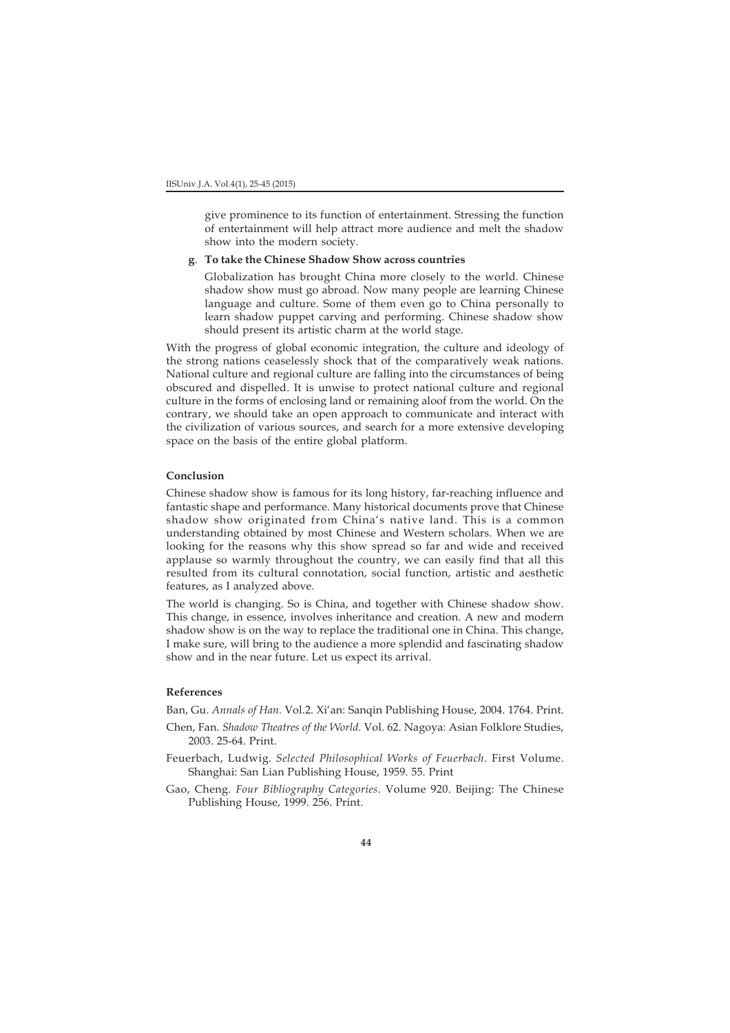give prominence to its function of entertainment. Stressing the function of entertainment will help attract more audience and melt the shadow show into the modern society.

#### **g**. **To take the Chinese Shadow Show across countries**

Globalization has brought China more closely to the world. Chinese shadow show must go abroad. Now many people are learning Chinese language and culture. Some of them even go to China personally to learn shadow puppet carving and performing. Chinese shadow show should present its artistic charm at the world stage.

With the progress of global economic integration, the culture and ideology of the strong nations ceaselessly shock that of the comparatively weak nations. National culture and regional culture are falling into the circumstances of being obscured and dispelled. It is unwise to protect national culture and regional culture in the forms of enclosing land or remaining aloof from the world. On the contrary, we should take an open approach to communicate and interact with the civilization of various sources, and search for a more extensive developing space on the basis of the entire global platform.

#### **Conclusion**

Chinese shadow show is famous for its long history, far-reaching influence and fantastic shape and performance. Many historical documents prove that Chinese shadow show originated from China's native land. This is a common understanding obtained by most Chinese and Western scholars. When we are looking for the reasons why this show spread so far and wide and received applause so warmly throughout the country, we can easily find that all this resulted from its cultural connotation, social function, artistic and aesthetic features, as I analyzed above.

The world is changing. So is China, and together with Chinese shadow show. This change, in essence, involves inheritance and creation. A new and modern shadow show is on the way to replace the traditional one in China. This change, I make sure, will bring to the audience a more splendid and fascinating shadow show and in the near future. Let us expect its arrival.

## **References**

Ban, Gu. *Annals of Han.* Vol.2. Xi'an: Sanqin Publishing House, 2004. 1764. Print.

- Chen, Fan. *Shadow Theatres of the World*. Vol. 62. Nagoya: Asian Folklore Studies, 2003. 25-64. Print.
- Feuerbach, Ludwig. *Selected Philosophical Works of Feuerbach*. First Volume. Shanghai: San Lian Publishing House, 1959. 55. Print
- Gao, Cheng. *Four Bibliography Categories*. Volume 920. Beijing: The Chinese Publishing House, 1999. 256. Print.